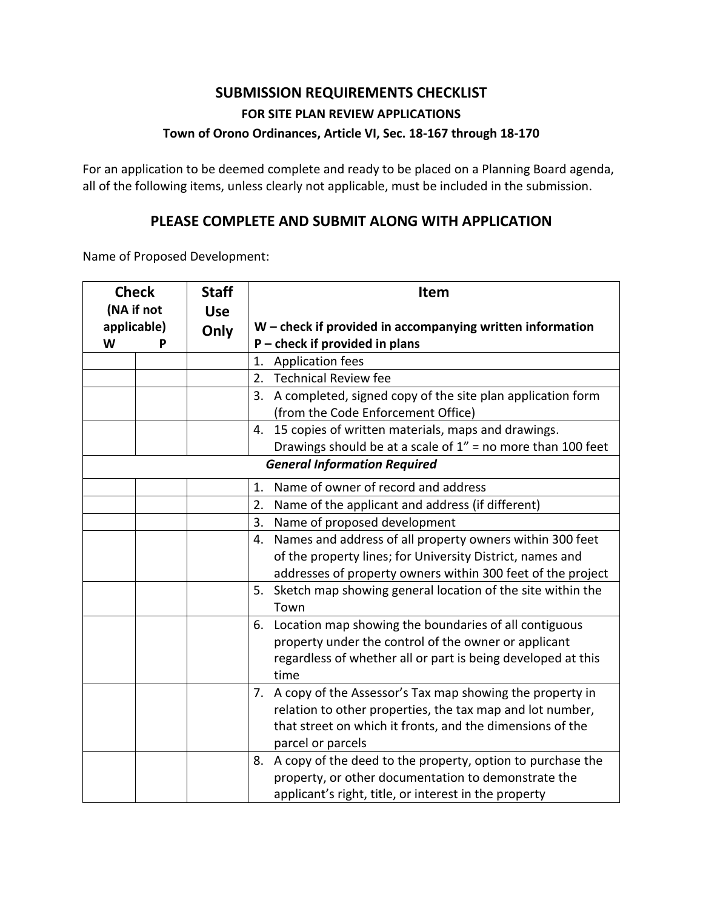## **SUBMISSION REQUIREMENTS CHECKLIST FOR SITE PLAN REVIEW APPLICATIONS Town of Orono Ordinances, Article VI, Sec. 18-167 through 18-170**

For an application to be deemed complete and ready to be placed on a Planning Board agenda, all of the following items, unless clearly not applicable, must be included in the submission.

## **PLEASE COMPLETE AND SUBMIT ALONG WITH APPLICATION**

Name of Proposed Development:

|   | <b>Check</b>              |  | <b>Item</b>                                                                                                                                                                                                |
|---|---------------------------|--|------------------------------------------------------------------------------------------------------------------------------------------------------------------------------------------------------------|
| W | (NA if not<br>applicable) |  | $W$ – check if provided in accompanying written information<br>$P$ – check if provided in plans                                                                                                            |
|   |                           |  | 1. Application fees                                                                                                                                                                                        |
|   |                           |  | <b>Technical Review fee</b><br>2.                                                                                                                                                                          |
|   |                           |  | 3. A completed, signed copy of the site plan application form<br>(from the Code Enforcement Office)                                                                                                        |
|   |                           |  | 15 copies of written materials, maps and drawings.<br>4.                                                                                                                                                   |
|   |                           |  | Drawings should be at a scale of $1'' =$ no more than 100 feet                                                                                                                                             |
|   |                           |  | <b>General Information Required</b>                                                                                                                                                                        |
|   |                           |  | Name of owner of record and address<br>1.                                                                                                                                                                  |
|   |                           |  | Name of the applicant and address (if different)<br>2.                                                                                                                                                     |
|   |                           |  | Name of proposed development<br>3.                                                                                                                                                                         |
|   |                           |  | Names and address of all property owners within 300 feet<br>4.<br>of the property lines; for University District, names and<br>addresses of property owners within 300 feet of the project                 |
|   |                           |  | Sketch map showing general location of the site within the<br>5.<br>Town                                                                                                                                   |
|   |                           |  | Location map showing the boundaries of all contiguous<br>6.<br>property under the control of the owner or applicant<br>regardless of whether all or part is being developed at this<br>time                |
|   |                           |  | 7. A copy of the Assessor's Tax map showing the property in<br>relation to other properties, the tax map and lot number,<br>that street on which it fronts, and the dimensions of the<br>parcel or parcels |
|   |                           |  | A copy of the deed to the property, option to purchase the<br>8.<br>property, or other documentation to demonstrate the<br>applicant's right, title, or interest in the property                           |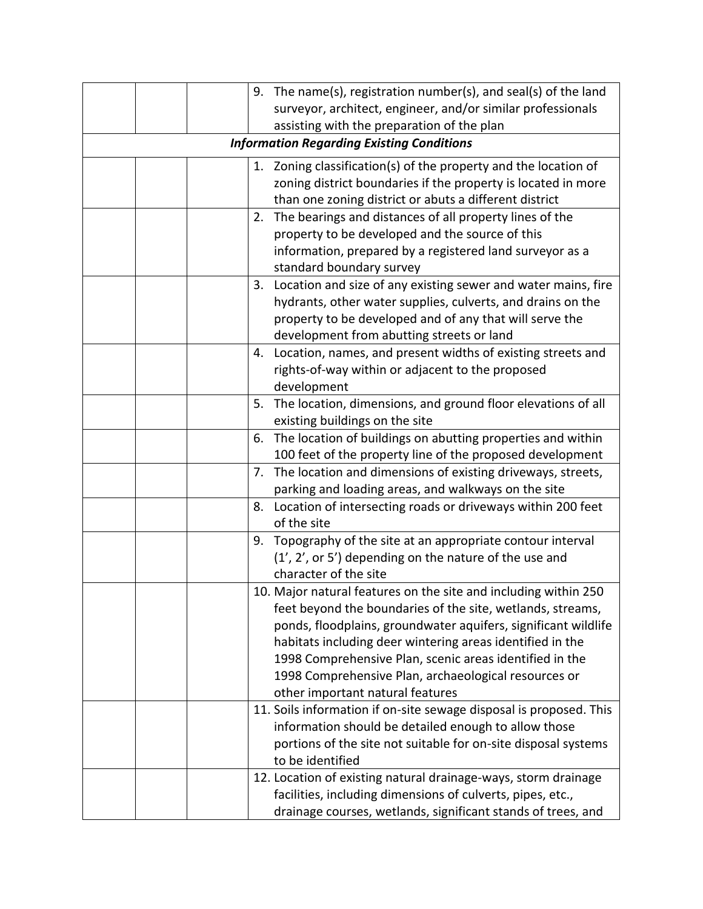|  |    | 9. The name(s), registration number(s), and seal(s) of the land    |
|--|----|--------------------------------------------------------------------|
|  |    | surveyor, architect, engineer, and/or similar professionals        |
|  |    | assisting with the preparation of the plan                         |
|  |    | <b>Information Regarding Existing Conditions</b>                   |
|  |    | 1. Zoning classification(s) of the property and the location of    |
|  |    | zoning district boundaries if the property is located in more      |
|  |    | than one zoning district or abuts a different district             |
|  |    | 2. The bearings and distances of all property lines of the         |
|  |    | property to be developed and the source of this                    |
|  |    | information, prepared by a registered land surveyor as a           |
|  |    | standard boundary survey                                           |
|  |    | 3. Location and size of any existing sewer and water mains, fire   |
|  |    | hydrants, other water supplies, culverts, and drains on the        |
|  |    | property to be developed and of any that will serve the            |
|  |    | development from abutting streets or land                          |
|  | 4. | Location, names, and present widths of existing streets and        |
|  |    | rights-of-way within or adjacent to the proposed                   |
|  |    | development                                                        |
|  | 5. | The location, dimensions, and ground floor elevations of all       |
|  |    | existing buildings on the site                                     |
|  | 6. | The location of buildings on abutting properties and within        |
|  |    | 100 feet of the property line of the proposed development          |
|  | 7. | The location and dimensions of existing driveways, streets,        |
|  |    | parking and loading areas, and walkways on the site                |
|  |    | 8. Location of intersecting roads or driveways within 200 feet     |
|  |    | of the site                                                        |
|  |    | 9. Topography of the site at an appropriate contour interval       |
|  |    | (1', 2', or 5') depending on the nature of the use and             |
|  |    | character of the site                                              |
|  |    | 10. Major natural features on the site and including within 250    |
|  |    | feet beyond the boundaries of the site, wetlands, streams,         |
|  |    | ponds, floodplains, groundwater aquifers, significant wildlife     |
|  |    | habitats including deer wintering areas identified in the          |
|  |    | 1998 Comprehensive Plan, scenic areas identified in the            |
|  |    | 1998 Comprehensive Plan, archaeological resources or               |
|  |    | other important natural features                                   |
|  |    | 11. Soils information if on-site sewage disposal is proposed. This |
|  |    | information should be detailed enough to allow those               |
|  |    | portions of the site not suitable for on-site disposal systems     |
|  |    | to be identified                                                   |
|  |    | 12. Location of existing natural drainage-ways, storm drainage     |
|  |    | facilities, including dimensions of culverts, pipes, etc.,         |
|  |    | drainage courses, wetlands, significant stands of trees, and       |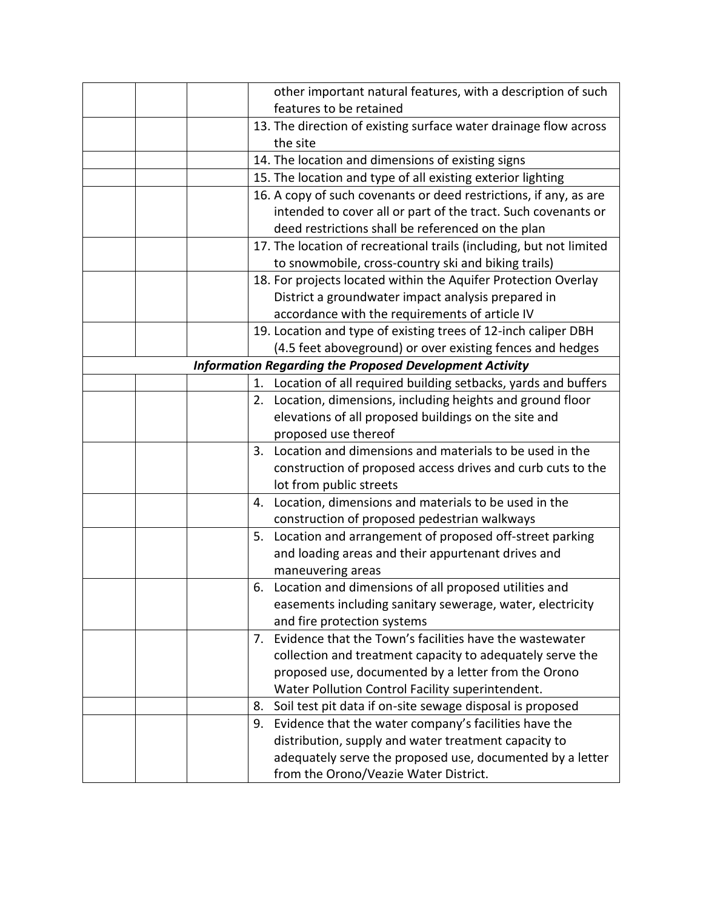|  |    | other important natural features, with a description of such        |
|--|----|---------------------------------------------------------------------|
|  |    | features to be retained                                             |
|  |    | 13. The direction of existing surface water drainage flow across    |
|  |    | the site                                                            |
|  |    | 14. The location and dimensions of existing signs                   |
|  |    | 15. The location and type of all existing exterior lighting         |
|  |    | 16. A copy of such covenants or deed restrictions, if any, as are   |
|  |    | intended to cover all or part of the tract. Such covenants or       |
|  |    | deed restrictions shall be referenced on the plan                   |
|  |    | 17. The location of recreational trails (including, but not limited |
|  |    | to snowmobile, cross-country ski and biking trails)                 |
|  |    | 18. For projects located within the Aquifer Protection Overlay      |
|  |    | District a groundwater impact analysis prepared in                  |
|  |    | accordance with the requirements of article IV                      |
|  |    | 19. Location and type of existing trees of 12-inch caliper DBH      |
|  |    | (4.5 feet aboveground) or over existing fences and hedges           |
|  |    | <b>Information Regarding the Proposed Development Activity</b>      |
|  |    | 1. Location of all required building setbacks, yards and buffers    |
|  |    | 2. Location, dimensions, including heights and ground floor         |
|  |    | elevations of all proposed buildings on the site and                |
|  |    | proposed use thereof                                                |
|  |    | 3. Location and dimensions and materials to be used in the          |
|  |    | construction of proposed access drives and curb cuts to the         |
|  |    | lot from public streets                                             |
|  | 4. | Location, dimensions and materials to be used in the                |
|  |    | construction of proposed pedestrian walkways                        |
|  |    | 5. Location and arrangement of proposed off-street parking          |
|  |    | and loading areas and their appurtenant drives and                  |
|  |    | maneuvering areas                                                   |
|  | 6. | Location and dimensions of all proposed utilities and               |
|  |    | easements including sanitary sewerage, water, electricity           |
|  |    | and fire protection systems                                         |
|  | 7. | Evidence that the Town's facilities have the wastewater             |
|  |    | collection and treatment capacity to adequately serve the           |
|  |    | proposed use, documented by a letter from the Orono                 |
|  |    | Water Pollution Control Facility superintendent.                    |
|  | 8. | Soil test pit data if on-site sewage disposal is proposed           |
|  | 9. | Evidence that the water company's facilities have the               |
|  |    | distribution, supply and water treatment capacity to                |
|  |    | adequately serve the proposed use, documented by a letter           |
|  |    | from the Orono/Veazie Water District.                               |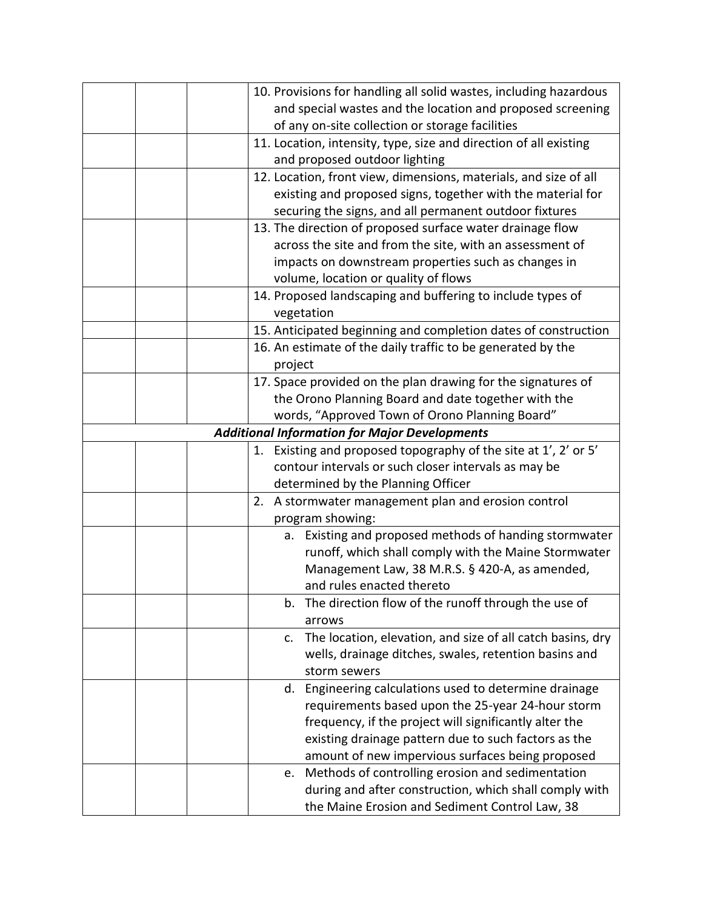| 10. Provisions for handling all solid wastes, including hazardous            |
|------------------------------------------------------------------------------|
| and special wastes and the location and proposed screening                   |
| of any on-site collection or storage facilities                              |
| 11. Location, intensity, type, size and direction of all existing            |
| and proposed outdoor lighting                                                |
| 12. Location, front view, dimensions, materials, and size of all             |
| existing and proposed signs, together with the material for                  |
| securing the signs, and all permanent outdoor fixtures                       |
| 13. The direction of proposed surface water drainage flow                    |
| across the site and from the site, with an assessment of                     |
| impacts on downstream properties such as changes in                          |
| volume, location or quality of flows                                         |
| 14. Proposed landscaping and buffering to include types of                   |
| vegetation                                                                   |
| 15. Anticipated beginning and completion dates of construction               |
| 16. An estimate of the daily traffic to be generated by the                  |
| project                                                                      |
| 17. Space provided on the plan drawing for the signatures of                 |
| the Orono Planning Board and date together with the                          |
| words, "Approved Town of Orono Planning Board"                               |
| <b>Additional Information for Major Developments</b>                         |
| 1. Existing and proposed topography of the site at 1', 2' or 5'              |
| contour intervals or such closer intervals as may be                         |
| determined by the Planning Officer                                           |
| A stormwater management plan and erosion control<br>2.                       |
| program showing:                                                             |
| a. Existing and proposed methods of handing stormwater                       |
| runoff, which shall comply with the Maine Stormwater                         |
| Management Law, 38 M.R.S. § 420-A, as amended,                               |
| and rules enacted thereto                                                    |
| b. The direction flow of the runoff through the use of                       |
| arrows                                                                       |
| The location, elevation, and size of all catch basins, dry<br>$\mathsf{C}$ . |
| wells, drainage ditches, swales, retention basins and                        |
| storm sewers                                                                 |
| Engineering calculations used to determine drainage<br>d.                    |
| requirements based upon the 25-year 24-hour storm                            |
| frequency, if the project will significantly alter the                       |
| existing drainage pattern due to such factors as the                         |
| amount of new impervious surfaces being proposed                             |
| Methods of controlling erosion and sedimentation<br>e.                       |
| during and after construction, which shall comply with                       |
| the Maine Erosion and Sediment Control Law, 38                               |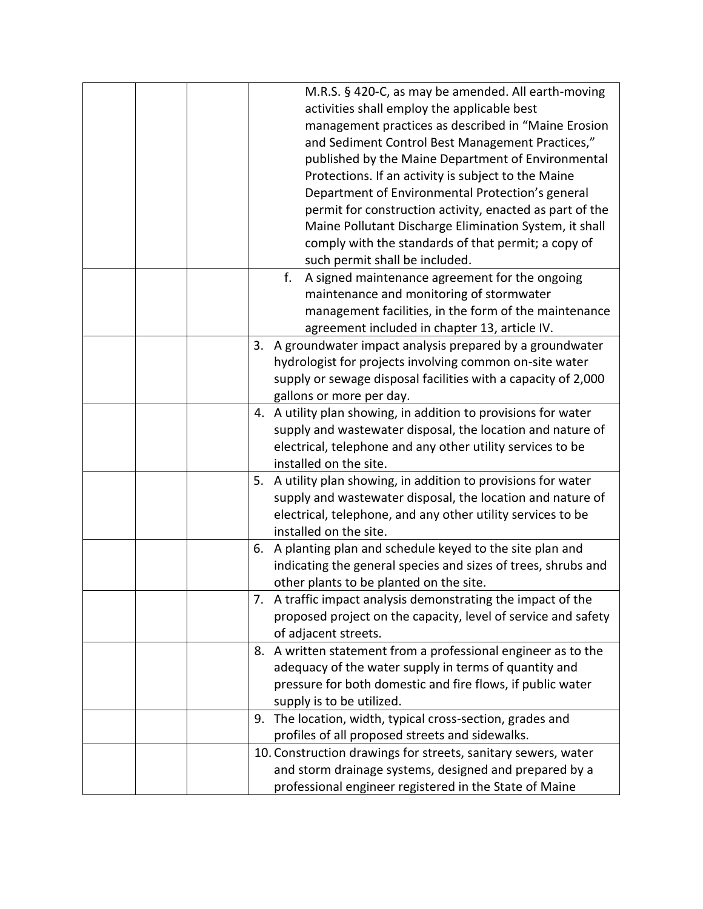| M.R.S. § 420-C, as may be amended. All earth-moving<br>activities shall employ the applicable best<br>management practices as described in "Maine Erosion<br>and Sediment Control Best Management Practices,"<br>published by the Maine Department of Environmental<br>Protections. If an activity is subject to the Maine<br>Department of Environmental Protection's general<br>permit for construction activity, enacted as part of the<br>Maine Pollutant Discharge Elimination System, it shall<br>comply with the standards of that permit; a copy of<br>such permit shall be included. |
|-----------------------------------------------------------------------------------------------------------------------------------------------------------------------------------------------------------------------------------------------------------------------------------------------------------------------------------------------------------------------------------------------------------------------------------------------------------------------------------------------------------------------------------------------------------------------------------------------|
| f.<br>A signed maintenance agreement for the ongoing<br>maintenance and monitoring of stormwater<br>management facilities, in the form of the maintenance<br>agreement included in chapter 13, article IV.                                                                                                                                                                                                                                                                                                                                                                                    |
| 3. A groundwater impact analysis prepared by a groundwater<br>hydrologist for projects involving common on-site water<br>supply or sewage disposal facilities with a capacity of 2,000<br>gallons or more per day.                                                                                                                                                                                                                                                                                                                                                                            |
| 4. A utility plan showing, in addition to provisions for water<br>supply and wastewater disposal, the location and nature of<br>electrical, telephone and any other utility services to be<br>installed on the site.                                                                                                                                                                                                                                                                                                                                                                          |
| 5. A utility plan showing, in addition to provisions for water<br>supply and wastewater disposal, the location and nature of<br>electrical, telephone, and any other utility services to be<br>installed on the site.                                                                                                                                                                                                                                                                                                                                                                         |
| 6. A planting plan and schedule keyed to the site plan and<br>indicating the general species and sizes of trees, shrubs and<br>other plants to be planted on the site.                                                                                                                                                                                                                                                                                                                                                                                                                        |
| 7. A traffic impact analysis demonstrating the impact of the<br>proposed project on the capacity, level of service and safety<br>of adjacent streets.                                                                                                                                                                                                                                                                                                                                                                                                                                         |
| 8. A written statement from a professional engineer as to the<br>adequacy of the water supply in terms of quantity and<br>pressure for both domestic and fire flows, if public water<br>supply is to be utilized.                                                                                                                                                                                                                                                                                                                                                                             |
| The location, width, typical cross-section, grades and<br>9.<br>profiles of all proposed streets and sidewalks.                                                                                                                                                                                                                                                                                                                                                                                                                                                                               |
| 10. Construction drawings for streets, sanitary sewers, water<br>and storm drainage systems, designed and prepared by a<br>professional engineer registered in the State of Maine                                                                                                                                                                                                                                                                                                                                                                                                             |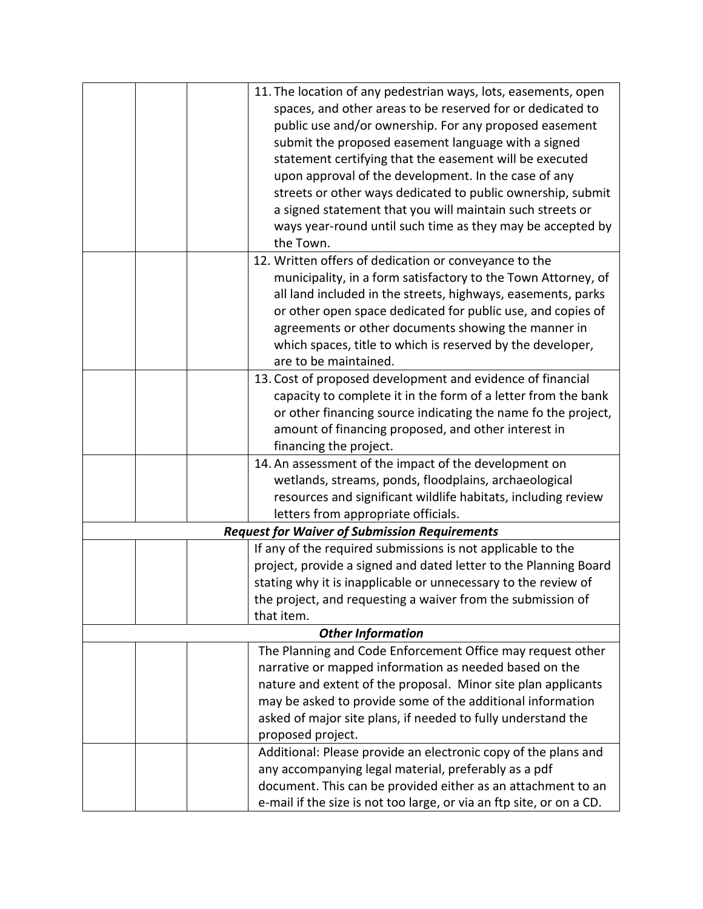| 11. The location of any pedestrian ways, lots, easements, open<br>spaces, and other areas to be reserved for or dedicated to<br>public use and/or ownership. For any proposed easement<br>submit the proposed easement language with a signed<br>statement certifying that the easement will be executed<br>upon approval of the development. In the case of any<br>streets or other ways dedicated to public ownership, submit<br>a signed statement that you will maintain such streets or<br>ways year-round until such time as they may be accepted by<br>the Town. |
|-------------------------------------------------------------------------------------------------------------------------------------------------------------------------------------------------------------------------------------------------------------------------------------------------------------------------------------------------------------------------------------------------------------------------------------------------------------------------------------------------------------------------------------------------------------------------|
| 12. Written offers of dedication or conveyance to the<br>municipality, in a form satisfactory to the Town Attorney, of<br>all land included in the streets, highways, easements, parks<br>or other open space dedicated for public use, and copies of<br>agreements or other documents showing the manner in<br>which spaces, title to which is reserved by the developer,<br>are to be maintained.                                                                                                                                                                     |
| 13. Cost of proposed development and evidence of financial<br>capacity to complete it in the form of a letter from the bank<br>or other financing source indicating the name fo the project,<br>amount of financing proposed, and other interest in<br>financing the project.                                                                                                                                                                                                                                                                                           |
| 14. An assessment of the impact of the development on<br>wetlands, streams, ponds, floodplains, archaeological<br>resources and significant wildlife habitats, including review<br>letters from appropriate officials.                                                                                                                                                                                                                                                                                                                                                  |
| <b>Request for Waiver of Submission Requirements</b>                                                                                                                                                                                                                                                                                                                                                                                                                                                                                                                    |
| If any of the required submissions is not applicable to the<br>project, provide a signed and dated letter to the Planning Board<br>stating why it is inapplicable or unnecessary to the review of<br>the project, and requesting a waiver from the submission of<br>that item.                                                                                                                                                                                                                                                                                          |
| <b>Other Information</b>                                                                                                                                                                                                                                                                                                                                                                                                                                                                                                                                                |
| The Planning and Code Enforcement Office may request other<br>narrative or mapped information as needed based on the<br>nature and extent of the proposal. Minor site plan applicants<br>may be asked to provide some of the additional information<br>asked of major site plans, if needed to fully understand the<br>proposed project.                                                                                                                                                                                                                                |
| Additional: Please provide an electronic copy of the plans and<br>any accompanying legal material, preferably as a pdf<br>document. This can be provided either as an attachment to an<br>e-mail if the size is not too large, or via an ftp site, or on a CD.                                                                                                                                                                                                                                                                                                          |